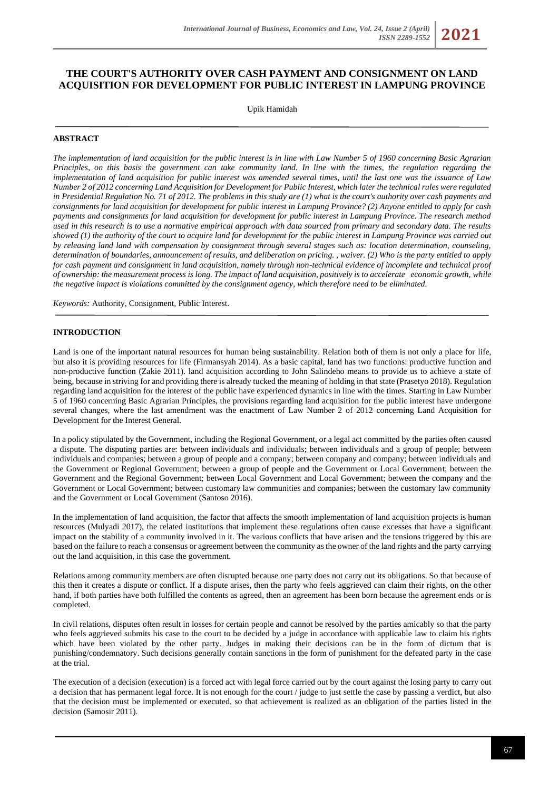# **THE COURT'S AUTHORITY OVER CASH PAYMENT AND CONSIGNMENT ON LAND ACQUISITION FOR DEVELOPMENT FOR PUBLIC INTEREST IN LAMPUNG PROVINCE**

Upik Hamidah

### **ABSTRACT**

*The implementation of land acquisition for the public interest is in line with Law Number 5 of 1960 concerning Basic Agrarian Principles, on this basis the government can take community land. In line with the times, the regulation regarding the implementation of land acquisition for public interest was amended several times, until the last one was the issuance of Law Number 2 of 2012 concerning Land Acquisition for Development for Public Interest, which later the technical rules were regulated in Presidential Regulation No. 71 of 2012. The problems in this study are (1) what is the court's authority over cash payments and consignments for land acquisition for development for public interest in Lampung Province? (2) Anyone entitled to apply for cash payments and consignments for land acquisition for development for public interest in Lampung Province. The research method used in this research is to use a normative empirical approach with data sourced from primary and secondary data. The results showed (1) the authority of the court to acquire land for development for the public interest in Lampung Province was carried out by releasing land land with compensation by consignment through several stages such as: location determination, counseling, determination of boundaries, announcement of results, and deliberation on pricing. , waiver. (2) Who is the party entitled to apply for cash payment and consignment in land acquisition, namely through non-technical evidence of incomplete and technical proof of ownership: the measurement process is long. The impact of land acquisition, positively is to accelerate economic growth, while the negative impact is violations committed by the consignment agency, which therefore need to be eliminated.* 

*Keywords:* Authority, Consignment, Public Interest.

# **INTRODUCTION**

Land is one of the important natural resources for human being sustainability. Relation both of them is not only a place for life, but also it is providing resources for life (Firmansyah 2014). As a basic capital, land has two functions: productive function and non-productive function (Zakie 2011). land acquisition according to John Salindeho means to provide us to achieve a state of being, because in striving for and providing there is already tucked the meaning of holding in that state (Prasetyo 2018). Regulation regarding land acquisition for the interest of the public have experienced dynamics in line with the times. Starting in Law Number 5 of 1960 concerning Basic Agrarian Principles, the provisions regarding land acquisition for the public interest have undergone several changes, where the last amendment was the enactment of Law Number 2 of 2012 concerning Land Acquisition for Development for the Interest General.

In a policy stipulated by the Government, including the Regional Government, or a legal act committed by the parties often caused a dispute. The disputing parties are: between individuals and individuals; between individuals and a group of people; between individuals and companies; between a group of people and a company; between company and company; between individuals and the Government or Regional Government; between a group of people and the Government or Local Government; between the Government and the Regional Government; between Local Government and Local Government; between the company and the Government or Local Government; between customary law communities and companies; between the customary law community and the Government or Local Government (Santoso 2016).

In the implementation of land acquisition, the factor that affects the smooth implementation of land acquisition projects is human resources (Mulyadi 2017), the related institutions that implement these regulations often cause excesses that have a significant impact on the stability of a community involved in it. The various conflicts that have arisen and the tensions triggered by this are based on the failure to reach a consensus or agreement between the community as the owner of the land rights and the party carrying out the land acquisition, in this case the government.

Relations among community members are often disrupted because one party does not carry out its obligations. So that because of this then it creates a dispute or conflict. If a dispute arises, then the party who feels aggrieved can claim their rights, on the other hand, if both parties have both fulfilled the contents as agreed, then an agreement has been born because the agreement ends or is completed.

In civil relations, disputes often result in losses for certain people and cannot be resolved by the parties amicably so that the party who feels aggrieved submits his case to the court to be decided by a judge in accordance with applicable law to claim his rights which have been violated by the other party. Judges in making their decisions can be in the form of dictum that is punishing/condemnatory. Such decisions generally contain sanctions in the form of punishment for the defeated party in the case at the trial.

The execution of a decision (execution) is a forced act with legal force carried out by the court against the losing party to carry out a decision that has permanent legal force. It is not enough for the court / judge to just settle the case by passing a verdict, but also that the decision must be implemented or executed, so that achievement is realized as an obligation of the parties listed in the decision (Samosir 2011).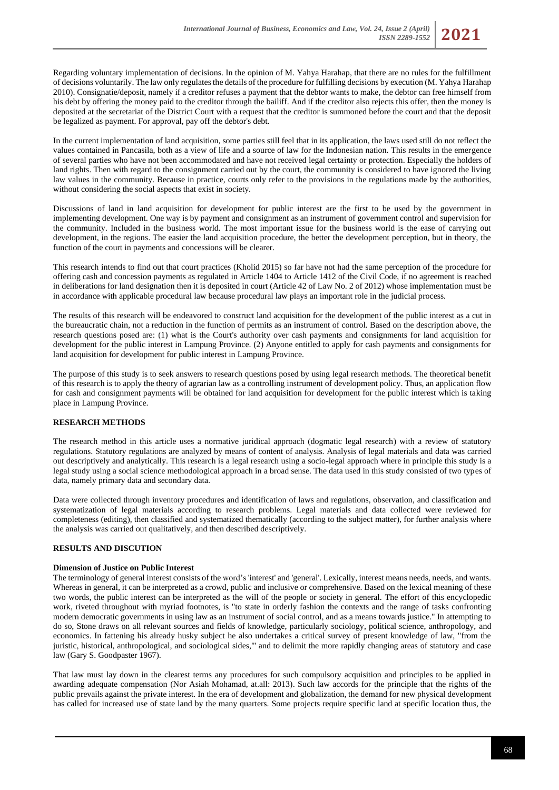Regarding voluntary implementation of decisions. In the opinion of M. Yahya Harahap, that there are no rules for the fulfillment of decisions voluntarily. The law only regulates the details of the procedure for fulfilling decisions by execution (M. Yahya Harahap 2010). Consignatie/deposit, namely if a creditor refuses a payment that the debtor wants to make, the debtor can free himself from his debt by offering the money paid to the creditor through the bailiff. And if the creditor also rejects this offer, then the money is deposited at the secretariat of the District Court with a request that the creditor is summoned before the court and that the deposit be legalized as payment. For approval, pay off the debtor's debt.

In the current implementation of land acquisition, some parties still feel that in its application, the laws used still do not reflect the values contained in Pancasila, both as a view of life and a source of law for the Indonesian nation. This results in the emergence of several parties who have not been accommodated and have not received legal certainty or protection. Especially the holders of land rights. Then with regard to the consignment carried out by the court, the community is considered to have ignored the living law values in the community. Because in practice, courts only refer to the provisions in the regulations made by the authorities, without considering the social aspects that exist in society.

Discussions of land in land acquisition for development for public interest are the first to be used by the government in implementing development. One way is by payment and consignment as an instrument of government control and supervision for the community. Included in the business world. The most important issue for the business world is the ease of carrying out development, in the regions. The easier the land acquisition procedure, the better the development perception, but in theory, the function of the court in payments and concessions will be clearer.

This research intends to find out that court practices (Kholid 2015) so far have not had the same perception of the procedure for offering cash and concession payments as regulated in Article 1404 to Article 1412 of the Civil Code, if no agreement is reached in deliberations for land designation then it is deposited in court (Article 42 of Law No. 2 of 2012) whose implementation must be in accordance with applicable procedural law because procedural law plays an important role in the judicial process.

The results of this research will be endeavored to construct land acquisition for the development of the public interest as a cut in the bureaucratic chain, not a reduction in the function of permits as an instrument of control. Based on the description above, the research questions posed are: (1) what is the Court's authority over cash payments and consignments for land acquisition for development for the public interest in Lampung Province. (2) Anyone entitled to apply for cash payments and consignments for land acquisition for development for public interest in Lampung Province.

The purpose of this study is to seek answers to research questions posed by using legal research methods. The theoretical benefit of this research is to apply the theory of agrarian law as a controlling instrument of development policy. Thus, an application flow for cash and consignment payments will be obtained for land acquisition for development for the public interest which is taking place in Lampung Province.

### **RESEARCH METHODS**

The research method in this article uses a normative juridical approach (dogmatic legal research) with a review of statutory regulations. Statutory regulations are analyzed by means of content of analysis. Analysis of legal materials and data was carried out descriptively and analytically. This research is a legal research using a socio-legal approach where in principle this study is a legal study using a social science methodological approach in a broad sense. The data used in this study consisted of two types of data, namely primary data and secondary data.

Data were collected through inventory procedures and identification of laws and regulations, observation, and classification and systematization of legal materials according to research problems. Legal materials and data collected were reviewed for completeness (editing), then classified and systematized thematically (according to the subject matter), for further analysis where the analysis was carried out qualitatively, and then described descriptively.

# **RESULTS AND DISCUTION**

#### **Dimension of Justice on Public Interest**

The terminology of general interest consists of the word's 'interest' and 'general'. Lexically, interest means needs, needs, and wants. Whereas in general, it can be interpreted as a crowd, public and inclusive or comprehensive. Based on the lexical meaning of these two words, the public interest can be interpreted as the will of the people or society in general. The effort of this encyclopedic work, riveted throughout with myriad footnotes, is "to state in orderly fashion the contexts and the range of tasks confronting modern democratic governments in using law as an instrument of social control, and as a means towards justice." In attempting to do so, Stone draws on all relevant sources and fields of knowledge, particularly sociology, political science, anthropology, and economics. In fattening his already husky subject he also undertakes a critical survey of present knowledge of law, "from the juristic, historical, anthropological, and sociological sides,"' and to delimit the more rapidly changing areas of statutory and case law (Gary S. Goodpaster 1967).

That law must lay down in the clearest terms any procedures for such compulsory acquisition and principles to be applied in awarding adequate compensation (Nor Asiah Mohamad, at.all: 2013). Such law accords for the principle that the rights of the public prevails against the private interest. In the era of development and globalization, the demand for new physical development has called for increased use of state land by the many quarters. Some projects require specific land at specific location thus, the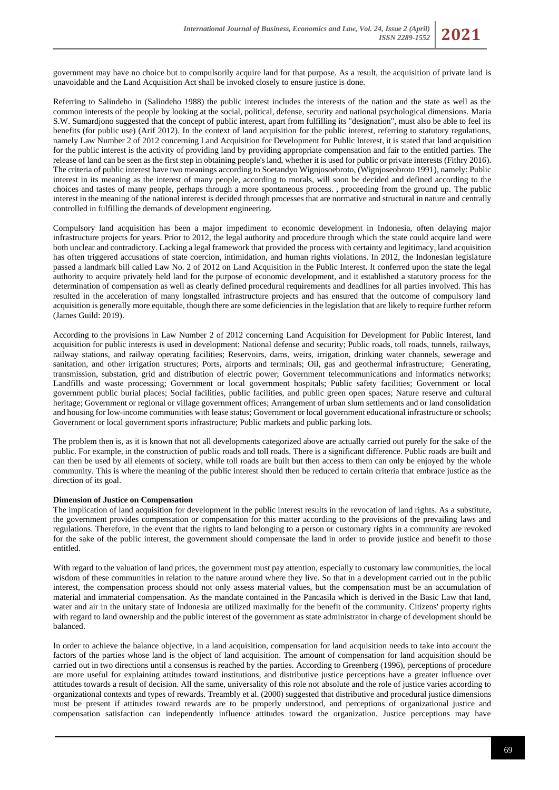government may have no choice but to compulsorily acquire land for that purpose. As a result, the acquisition of private land is unavoidable and the Land Acquisition Act shall be invoked closely to ensure justice is done.

Referring to Salindeho in (Salindeho 1988) the public interest includes the interests of the nation and the state as well as the common interests of the people by looking at the social, political, defense, security and national psychological dimensions. Maria S.W. Sumardjono suggested that the concept of public interest, apart from fulfilling its "designation", must also be able to feel its benefits (for public use) (Arif 2012). In the context of land acquisition for the public interest, referring to statutory regulations, namely Law Number 2 of 2012 concerning Land Acquisition for Development for Public Interest, it is stated that land acquisition for the public interest is the activity of providing land by providing appropriate compensation and fair to the entitled parties. The release of land can be seen as the first step in obtaining people's land, whether it is used for public or private interests (Fithry 2016). The criteria of public interest have two meanings according to Soetandyo Wignjosoebroto, (Wignjoseobroto 1991), namely: Public interest in its meaning as the interest of many people, according to morals, will soon be decided and defined according to the choices and tastes of many people, perhaps through a more spontaneous process. , proceeding from the ground up. The public interest in the meaning of the national interest is decided through processes that are normative and structural in nature and centrally controlled in fulfilling the demands of development engineering.

Compulsory land acquisition has been a major impediment to economic development in Indonesia, often delaying major infrastructure projects for years. Prior to 2012, the legal authority and procedure through which the state could acquire land were both unclear and contradictory. Lacking a legal framework that provided the process with certainty and legitimacy, land acquisition has often triggered accusations of state coercion, intimidation, and human rights violations. In 2012, the Indonesian legislature passed a landmark bill called Law No. 2 of 2012 on Land Acquisition in the Public Interest. It conferred upon the state the legal authority to acquire privately held land for the purpose of economic development, and it established a statutory process for the determination of compensation as well as clearly defined procedural requirements and deadlines for all parties involved. This has resulted in the acceleration of many longstalled infrastructure projects and has ensured that the outcome of compulsory land acquisition is generally more equitable, though there are some deficiencies in the legislation that are likely to require further reform (James Guild: 2019).

According to the provisions in Law Number 2 of 2012 concerning Land Acquisition for Development for Public Interest, land acquisition for public interests is used in development: National defense and security; Public roads, toll roads, tunnels, railways, railway stations, and railway operating facilities; Reservoirs, dams, weirs, irrigation, drinking water channels, sewerage and sanitation, and other irrigation structures; Ports, airports and terminals; Oil, gas and geothermal infrastructure; Generating, transmission, substation, grid and distribution of electric power; Government telecommunications and informatics networks; Landfills and waste processing; Government or local government hospitals; Public safety facilities; Government or local government public burial places; Social facilities, public facilities, and public green open spaces; Nature reserve and cultural heritage; Government or regional or village government offices; Arrangement of urban slum settlements and or land consolidation and housing for low-income communities with lease status; Government or local government educational infrastructure or schools; Government or local government sports infrastructure; Public markets and public parking lots.

The problem then is, as it is known that not all developments categorized above are actually carried out purely for the sake of the public. For example, in the construction of public roads and toll roads. There is a significant difference. Public roads are built and can then be used by all elements of society, while toll roads are built but then access to them can only be enjoyed by the whole community. This is where the meaning of the public interest should then be reduced to certain criteria that embrace justice as the direction of its goal.

#### **Dimension of Justice on Compensation**

The implication of land acquisition for development in the public interest results in the revocation of land rights. As a substitute, the government provides compensation or compensation for this matter according to the provisions of the prevailing laws and regulations. Therefore, in the event that the rights to land belonging to a person or customary rights in a community are revoked for the sake of the public interest, the government should compensate the land in order to provide justice and benefit to those entitled.

With regard to the valuation of land prices, the government must pay attention, especially to customary law communities, the local wisdom of these communities in relation to the nature around where they live. So that in a development carried out in the public interest, the compensation process should not only assess material values, but the compensation must be an accumulation of material and immaterial compensation. As the mandate contained in the Pancasila which is derived in the Basic Law that land, water and air in the unitary state of Indonesia are utilized maximally for the benefit of the community. Citizens' property rights with regard to land ownership and the public interest of the government as state administrator in charge of development should be balanced.

In order to achieve the balance objective, in a land acquisition, compensation for land acquisition needs to take into account the factors of the parties whose land is the object of land acquisition. The amount of compensation for land acquisition should be carried out in two directions until a consensus is reached by the parties. According to Greenberg (1996), perceptions of procedure are more useful for explaining attitudes toward institutions, and distributive justice perceptions have a greater influence over attitudes towards a result of decision. All the same, universality of this role not absolute and the role of justice varies according to organizational contexts and types of rewards. Treambly et al. (2000) suggested that distributive and procedural justice dimensions must be present if attitudes toward rewards are to be properly understood, and perceptions of organizational justice and compensation satisfaction can independently influence attitudes toward the organization. Justice perceptions may have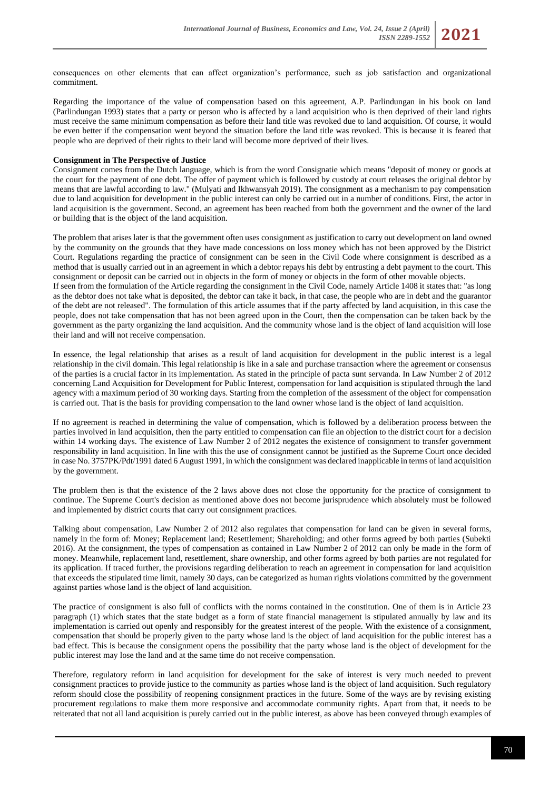Regarding the importance of the value of compensation based on this agreement, A.P. Parlindungan in his book on land (Parlindungan 1993) states that a party or person who is affected by a land acquisition who is then deprived of their land rights must receive the same minimum compensation as before their land title was revoked due to land acquisition. Of course, it would be even better if the compensation went beyond the situation before the land title was revoked. This is because it is feared that people who are deprived of their rights to their land will become more deprived of their lives.

# **Consignment in The Perspective of Justice**

Consignment comes from the Dutch language, which is from the word Consignatie which means "deposit of money or goods at the court for the payment of one debt. The offer of payment which is followed by custody at court releases the original debtor by means that are lawful according to law." (Mulyati and Ikhwansyah 2019). The consignment as a mechanism to pay compensation due to land acquisition for development in the public interest can only be carried out in a number of conditions. First, the actor in land acquisition is the government. Second, an agreement has been reached from both the government and the owner of the land or building that is the object of the land acquisition.

The problem that arises later is that the government often uses consignment as justification to carry out development on land owned by the community on the grounds that they have made concessions on loss money which has not been approved by the District Court. Regulations regarding the practice of consignment can be seen in the Civil Code where consignment is described as a method that is usually carried out in an agreement in which a debtor repays his debt by entrusting a debt payment to the court. This consignment or deposit can be carried out in objects in the form of money or objects in the form of other movable objects. If seen from the formulation of the Article regarding the consignment in the Civil Code, namely Article 1408 it states that: "as long as the debtor does not take what is deposited, the debtor can take it back, in that case, the people who are in debt and the guarantor of the debt are not released". The formulation of this article assumes that if the party affected by land acquisition, in this case the people, does not take compensation that has not been agreed upon in the Court, then the compensation can be taken back by the government as the party organizing the land acquisition. And the community whose land is the object of land acquisition will lose their land and will not receive compensation.

In essence, the legal relationship that arises as a result of land acquisition for development in the public interest is a legal relationship in the civil domain. This legal relationship is like in a sale and purchase transaction where the agreement or consensus of the parties is a crucial factor in its implementation. As stated in the principle of pacta sunt servanda. In Law Number 2 of 2012 concerning Land Acquisition for Development for Public Interest, compensation for land acquisition is stipulated through the land agency with a maximum period of 30 working days. Starting from the completion of the assessment of the object for compensation is carried out. That is the basis for providing compensation to the land owner whose land is the object of land acquisition.

If no agreement is reached in determining the value of compensation, which is followed by a deliberation process between the parties involved in land acquisition, then the party entitled to compensation can file an objection to the district court for a decision within 14 working days. The existence of Law Number 2 of 2012 negates the existence of consignment to transfer government responsibility in land acquisition. In line with this the use of consignment cannot be justified as the Supreme Court once decided in case No. 3757PK/Pdt/1991 dated 6 August 1991, in which the consignment was declared inapplicable in terms of land acquisition by the government.

The problem then is that the existence of the 2 laws above does not close the opportunity for the practice of consignment to continue. The Supreme Court's decision as mentioned above does not become jurisprudence which absolutely must be followed and implemented by district courts that carry out consignment practices.

Talking about compensation, Law Number 2 of 2012 also regulates that compensation for land can be given in several forms, namely in the form of: Money; Replacement land; Resettlement; Shareholding; and other forms agreed by both parties (Subekti 2016). At the consignment, the types of compensation as contained in Law Number 2 of 2012 can only be made in the form of money. Meanwhile, replacement land, resettlement, share ownership, and other forms agreed by both parties are not regulated for its application. If traced further, the provisions regarding deliberation to reach an agreement in compensation for land acquisition that exceeds the stipulated time limit, namely 30 days, can be categorized as human rights violations committed by the government against parties whose land is the object of land acquisition.

The practice of consignment is also full of conflicts with the norms contained in the constitution. One of them is in Article 23 paragraph (1) which states that the state budget as a form of state financial management is stipulated annually by law and its implementation is carried out openly and responsibly for the greatest interest of the people. With the existence of a consignment, compensation that should be properly given to the party whose land is the object of land acquisition for the public interest has a bad effect. This is because the consignment opens the possibility that the party whose land is the object of development for the public interest may lose the land and at the same time do not receive compensation.

Therefore, regulatory reform in land acquisition for development for the sake of interest is very much needed to prevent consignment practices to provide justice to the community as parties whose land is the object of land acquisition. Such regulatory reform should close the possibility of reopening consignment practices in the future. Some of the ways are by revising existing procurement regulations to make them more responsive and accommodate community rights. Apart from that, it needs to be reiterated that not all land acquisition is purely carried out in the public interest, as above has been conveyed through examples of